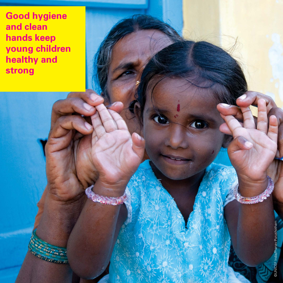**Good hygiene and clean hands keep young children healthy and strong**